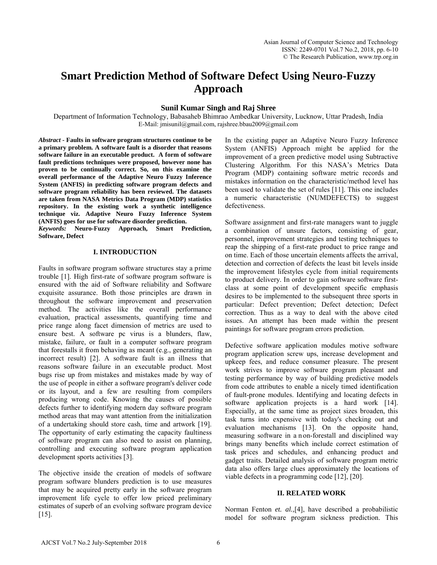# **Smart Prediction Method of Software Defect Using Neuro-Fuzzy Approach**

# **Sunil Kumar Singh and Raj Shree**

Department of Information Technology, Babasaheb Bhimrao Ambedkar University, Lucknow, Uttar Pradesh, India E-Mail: jmisunil@gmail.com, rajshree.bbau2009@gmail.com

*Abstract* **- Faults in software program structures continue to be a primary problem. A software fault is a disorder that reasons software failure in an executable product. A form of software fault predictions techniques were proposed, however none has proven to be continually correct. So, on this examine the overall performance of the Adaptive Neuro Fuzzy Inference System (ANFIS) in predicting software program defects and software program reliability has been reviewed. The datasets are taken from NASA Metrics Data Program (MDP) statistics repository. In the existing work a synthetic intelligence technique viz. Adaptive Neuro Fuzzy Inference System (ANFIS) goes for use for software disorder prediction.**

*Keywords:* **Neuro-Fuzzy Approach, Smart Prediction, Software, Defect**

# **I. INTRODUCTION**

Faults in software program software structures stay a prime trouble [1]. High first-rate of software program software is ensured with the aid of Software reliability and Software exquisite assurance. Both those principles are drawn in throughout the software improvement and preservation method. The activities like the overall performance evaluation, practical assessments, quantifying time and price range along facet dimension of metrics are used to ensure best. A software pc virus is a blunders, flaw, mistake, failure, or fault in a computer software program that forestalls it from behaving as meant (e.g., generating an incorrect result) [2]. A software fault is an illness that reasons software failure in an executable product. Most bugs rise up from mistakes and mistakes made by way of the use of people in either a software program's deliver code or its layout, and a few are resulting from compilers producing wrong code. Knowing the causes of possible defects further to identifying modern day software program method areas that may want attention from the initialization of a undertaking should store cash, time and artwork [19]. The opportunity of early estimating the capacity faultiness of software program can also need to assist on planning, controlling and executing software program application development sports activities [3].

The objective inside the creation of models of software program software blunders prediction is to use measures that may be acquired pretty early in the software program improvement life cycle to offer low priced preliminary estimates of superb of an evolving software program device [15].

In the existing paper an Adaptive Neuro Fuzzy Inference System (ANFIS) Approach might be applied for the improvement of a green predictive model using Subtractive Clustering Algorithm. For this NASA's Metrics Data Program (MDP) containing software metric records and mistakes information on the characteristic/method level has been used to validate the set of rules [11]. This one includes a numeric characteristic (NUMDEFECTS) to suggest defectiveness.

Software assignment and first-rate managers want to juggle a combination of unsure factors, consisting of gear, personnel, improvement strategies and testing techniques to reap the shipping of a first-rate product to price range and on time. Each of those uncertain elements affects the arrival, detection and correction of defects the least bit levels inside the improvement lifestyles cycle from initial requirements to product delivery. In order to gain software software firstclass at some point of development specific emphasis desires to be implemented to the subsequent three sports in particular: Defect prevention; Defect detection; Defect correction. Thus as a way to deal with the above cited issues. An attempt has been made within the present paintings for software program errors prediction.

Defective software application modules motive software program application screw ups, increase development and upkeep fees, and reduce consumer pleasure. The present work strives to improve software program pleasant and testing performance by way of building predictive models from code attributes to enable a nicely timed identification of fault-prone modules. Identifying and locating defects in software application projects is a hard work [14]. Especially, at the same time as project sizes broaden, this task turns into expensive with today's checking out and evaluation mechanisms [13]. On the opposite hand, measuring software in a n on-forestall and disciplined way brings many benefits which include correct estimation of task prices and schedules, and enhancing product and gadget traits. Detailed analysis of software program metric data also offers large clues approximately the locations of viable defects in a programming code [12], [20].

### **II. RELATED WORK**

Norman Fenton *et. al.,*[4], have described a probabilistic model for software program sickness prediction. This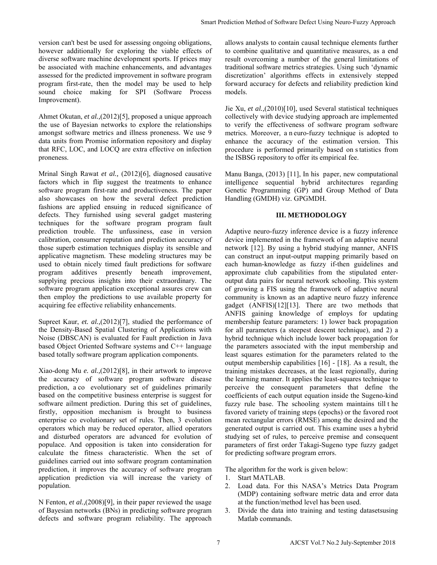version can't best be used for assessing ongoing obligations, however additionally for exploring the viable effects of diverse software machine development sports. If prices may be associated with machine enhancements, and advantages assessed for the predicted improvement in software program program first-rate, then the model may be used to help sound choice making for SPI (Software Process Improvement).

Ahmet Okutan, *et al.,*(2012)[5], proposed a unique approach the use of Bayesian networks to explore the relationships amongst software metrics and illness proneness. We use 9 data units from Promise information repository and display that RFC, LOC, and LOCQ are extra effective on infection proneness.

Mrinal Singh Rawat *et al.,* (2012)[6], diagnosed causative factors which in flip suggest the treatments to enhance software program first-rate and productiveness. The paper also showcases on how the several defect prediction fashions are applied ensuing in reduced significance of defects. They furnished using several gadget mastering techniques for the software program program fault prediction trouble. The unfussiness, ease in version calibration, consumer reputation and prediction accuracy of those superb estimation techniques display its sensible and applicative magnetism. These modeling structures may be used to obtain nicely timed fault predictions for software program additives presently beneath improvement, supplying precious insights into their extraordinary. The software program application exceptional assures crew can then employ the predictions to use available property for acquiring fee effective reliability enhancements.

Supreet Kaur, *et. al.*,(2012)<sup>[7]</sup>, studied the performance of the Density-Based Spatial Clustering of Applications with Noise (DBSCAN) is evaluated for Fault prediction in Java based Object Oriented Software systems and C++ language based totally software program application components.

Xiao-dong Mu *e. al.,*(2012)[8], in their artwork to improve the accuracy of software program software disease prediction, a co evolutionary set of guidelines primarily based on the competitive business enterprise is suggest for software ailment prediction. During this set of guidelines, firstly, opposition mechanism is brought to business enterprise co evolutionary set of rules. Then, 3 evolution operators which may be reduced operator, allied operators and disturbed operators are advanced for evolution of populace. And opposition is taken into consideration for calculate the fitness characteristic. When the set of guidelines carried out into software program contamination prediction, it improves the accuracy of software program application prediction via will increase the variety of population.

N Fenton, *et al.,*(2008)[9], in their paper reviewed the usage of Bayesian networks (BNs) in predicting software program defects and software program reliability. The approach

allows analysts to contain causal technique elements further to combine qualitative and quantitative measures, as a end result overcoming a number of the general limitations of traditional software metrics strategies. Using such 'dynamic discretization' algorithms effects in extensively stepped forward accuracy for defects and reliability prediction kind models.

Jie Xu, *et al.,*(2010)[10], used Several statistical techniques collectively with device studying approach are implemented to verify the effectiveness of software program software metrics. Moreover, a n euro-fuzzy technique is adopted to enhance the accuracy of the estimation version. This procedure is performed primarily based on s tatistics from the ISBSG repository to offer its empirical fee.

Manu Banga, (2013) [11], In his paper, new computational intelligence sequential hybrid architectures regarding Genetic Programming (GP) and Group Method of Data Handling (GMDH) viz. GPGMDH.

# **III. METHODOLOGY**

Adaptive neuro-fuzzy inference device is a fuzzy inference device implemented in the framework of an adaptive neural network [12]. By using a hybrid studying manner, ANFIS can construct an input-output mapping primarily based on each human-knowledge as fuzzy if-then guidelines and approximate club capabilities from the stipulated enteroutput data pairs for neural network schooling. This system of growing a FIS using the framework of adaptive neural community is known as an adaptive neuro fuzzy inference gadget (ANFIS)[12][13]. There are two methods that ANFIS gaining knowledge of employs for updating membership feature parameters: 1) lower back propagation for all parameters (a steepest descent technique), and 2) a hybrid technique which include lower back propagation for the parameters associated with the input membership and least squares estimation for the parameters related to the output membership capabilities [16] - [18]. As a result, the training mistakes decreases, at the least regionally, during the learning manner. It applies the least-squares technique to perceive the consequent parameters that define the coefficients of each output equation inside the Sugeno-kind fuzzy rule base. The schooling system maintains till t he favored variety of training steps (epochs) or the favored root mean rectangular errors (RMSE) among the desired and the generated output is carried out. This examine uses a hybrid studying set of rules, to perceive premise and consequent parameters of first order Takagi-Sugeno type fuzzy gadget for predicting software program errors. Smart Prediction Method of Software Defect Using Neuro-Fuzzy Approach<br>
and (of the combine qualitative and unchuring a mather of the general limitations of the combine qualitative and quantitative eneares further<br>
and the

The algorithm for the work is given below:

- 1. Start MATLAB.
- 2. Load data. For this NASA's Metrics Data Program (MDP) containing software metric data and error data at the function/method level has been used.
- 3. Divide the data into training and testing datasetsusing Matlab commands.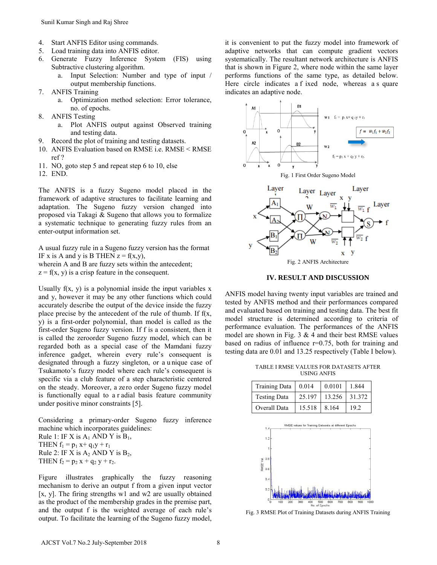- 4. Start ANFIS Editor using commands.
- 5. Load training data into ANFIS editor.
- 6. Generate Fuzzy Inference System (FIS) using Subtractive clustering algorithm.
	- a. Input Selection: Number and type of input / output membership functions.
- 7. ANFIS Training
	- a. Optimization method selection: Error tolerance, no. of epochs.
- 8. ANFIS Testing
	- a. Plot ANFIS output against Observed training and testing data.
- 9. Record the plot of training and testing datasets.
- 10. ANFIS Evaluation based on RMSE i.e. RMSE < RMSE ref ?
- 11. NO, goto step 5 and repeat step 6 to 10, else
- 12. END.

The ANFIS is a fuzzy Sugeno model placed in the framework of adaptive structures to facilitate learning and adaptation. The Sugeno fuzzy version changed into proposed via Takagi & Sugeno that allows you to formalize a systematic technique to generating fuzzy rules from an enter-output information set.

A usual fuzzy rule in a Sugeno fuzzy version has the format IF x is A and y is B THEN  $z = f(x,y)$ , wherein A and B are fuzzy sets within the antecedent;  $z = f(x, y)$  is a crisp feature in the consequent.

Usually  $f(x, y)$  is a polynomial inside the input variables x and y, however it may be any other functions which could accurately describe the output of the device inside the fuzzy place precise by the antecedent of the rule of thumb. If f(x, y) is a first-order polynomial, than model is called as the first-order Sugeno fuzzy version. If f is a consistent, then it is called the zeroorder Sugeno fuzzy model, which can be regarded both as a special case of the Mamdani fuzzy inference gadget, wherein every rule's consequent is designated through a fuzzy singleton, or a u nique case of Tsukamoto's fuzzy model where each rule's consequent is specific via a club feature of a step characteristic centered on the steady. Moreover, a zero order Sugeno fuzzy model is functionally equal to a r adial basis feature community under positive minor constraints [5].

Considering a primary-order Sugeno fuzzy inference machine which incorporates guidelines: Rule 1: IF X is  $A_1$  AND Y is  $B_1$ , THEN  $f_1 = p_1 x + q_1 y + r_1$ Rule 2: IF X is  $A_2$  AND Y is  $B_2$ , THEN  $f_2 = p_2 x + q_2 y + r_2$ .

Figure illustrates graphically the fuzzy reasoning mechanism to derive an output f from a given input vector [x, y]. The firing strengths w1 and w2 are usually obtained as the product of the membership grades in the premise part, and the output f is the weighted average of each rule's output. To facilitate the learning of the Sugeno fuzzy model,

it is convenient to put the fuzzy model into framework of adaptive networks that can compute gradient vectors systematically. The resultant network architecture is ANFIS that is shown in Figure 2, where node within the same layer performs functions of the same type, as detailed below. Here circle indicates a f ixed node, whereas a s quare indicates an adaptive node.







ANFIS model having twenty input variables are trained and tested by ANFIS method and their performances compared and evaluated based on training and testing data. The best fit model structure is determined according to criteria of performance evaluation. The performances of the ANFIS model are shown in Fig.  $3 \& 4$  and their best RMSE values based on radius of influence r=0.75, both for training and testing data are 0.01 and 13.25 respectively (Table I below)*.* 

TABLE I RMSE VALUES FOR DATASETS AFTER USING ANFIS

| Training Data   0.014 |        | 0.0101        | 1.844 |
|-----------------------|--------|---------------|-------|
| <b>Testing Data</b>   | 25.197 | 13.256 31.372 |       |
| Overall Data          | 15.518 | 8.164         | 19.2  |



Fig. 3 RMSE Plot of Training Datasets during ANFIS Training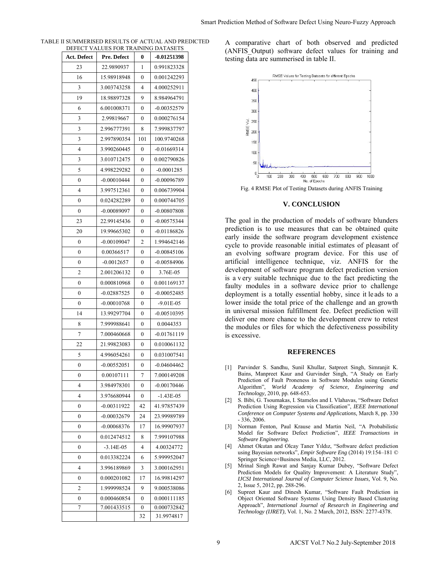| Act. Defect  | Pre. Defect   | 0            | -0.01251398   |
|--------------|---------------|--------------|---------------|
| 23           | 22.9890937    | 1            | 0.991823328   |
| 16           | 15.98918948   | 0            | 0.001242293   |
| 3            | 3.003743258   | 4            | 4.000252911   |
| 19           | 18.98897328   | 9            | 8.984964791   |
| 6            | 6.001008371   | 0            | $-0.00352579$ |
| 3            | 2.99819667    | 0            | 0.000276154   |
| 3            | 2.996777391   | 8            | 7.999837797   |
| 3            | 2.997890354   | 101          | 100.9740268   |
| 4            | 3.990260445   | 0            | $-0.01669314$ |
| 3            | 3.010712475   | 0            | 0.002790826   |
| 5            | 4.998229282   | 0            | $-0.0001285$  |
| 0            | $-0.00010444$ | 0            | -0.00096789   |
| 4            | 3.997512361   | 0            | 0.006739904   |
| 0            | 0.024282289   | 0            | 0.000744705   |
| 0            | -0.00089097   | 0            | -0.00807808   |
| 23           | 22.99145436   | 0            | $-0.00575344$ |
| 20           | 19.99665302   | 0            | $-0.01186826$ |
| $\mathbf{0}$ | $-0.00109047$ | 2            | 1.994642146   |
| 0            | 0.00366517    | 0            | $-0.00845106$ |
| 0            | $-0.0012657$  | 0            | $-0.00584906$ |
| 2            | 2.001206132   | 0            | 3.76E-05      |
| 0            | 0.000810968   | 0            | 0.001169137   |
| $\mathbf{0}$ | $-0.02887525$ | 0            | $-0.00052485$ |
| 0            | $-0.00010768$ | 0            | $-9.01E - 05$ |
| 14           | 13.99297704   | 0            | $-0.00510395$ |
| 8            | 7.999988641   | 0            | 0.0044353     |
| 7            | 7.000460668   | 0            | -0.01761119   |
| 22           | 21.99823083   | 0            | 0.010061132   |
| 5            | 4.996054261   | 0            | 0.031007541   |
| 0            | $-0.00552051$ | 0            | -0.04604462   |
| 0            | 0.00107111    | 7            | 7.000149208   |
| 4            | 3.984978301   | 0            | $-0.00170446$ |
| 4            | 3.976680944   | $\mathbf{0}$ | $-1.43E-05$   |
| 0            | $-0.00311922$ | 42           | 41.97857439   |
| 0            | $-0.00032679$ | 24           | 23.99989789   |
| 0            | $-0.00068376$ | 17           | 16.99907937   |
| $\mathbf{0}$ | 0.012474512   | 8            | 7.999107988   |
| 0            | $-3.14E - 05$ | 4            | 4.00324772    |
| 0            | 0.013382224   | 6            | 5.999952047   |
| 4            | 3.996189869   | 3            | 3.000162951   |
| 0            | 0.000201082   | 17           | 16.99814297   |
| 2            | 1.999998524   | 9            | 9.000538086   |
| 0            | 0.000460854   | 0            | 0.000111185   |
| 7            | 7.001433515   | 0            | 0.000732842   |
|              |               | 32           | 31.9974817    |

| TABLE II SUMMERISED RESULTS OF ACTUAL AND PREDICTED. |
|------------------------------------------------------|
| DEFECT VALUES FOR TRAINING DATASETS                  |

A comparative chart of both observed and predicted (ANFIS\_Output) software defect values for training and testing data are summerised in table II.



Fig. 4 RMSE Plot of Testing Datasets during ANFIS Training

# **V. CONCLUSION**

The goal in the production of models of software blunders prediction is to use measures that can be obtained quite early inside the software program development existence cycle to provide reasonable initial estimates of pleasant of an evolving software program device. For this use of artificial intelligence technique, viz. ANFIS for the development of software program defect prediction version is a v ery suitable technique due to the fact predicting the faulty modules in a software device prior to challenge deployment is a totally essential hobby, since it le ads to a lower inside the total price of the challenge and an growth in universal mission fulfillment fee. Defect prediction will deliver one more chance to the development crew to retest the modules or files for which the defectiveness possibility is excessive. Smart Prediction Method of Software Defect Using Neuro-Fuzzy Approach<br>
ED A comparative thent of both bosovered and predicte<br>
(ANFIS Output) software defect values for training and<br>  $\frac{1}{2}$  the state summerised in table

#### **REFERENCES**

- [1] Parvinder S. Sandhu, Sunil Khullar, Satpreet Singh, Simranjit K. Bains, Manpreet Kaur and Gurvinder Singh, "A Study on Early Prediction of Fault Proneness in Software Modules using Genetic Algorithm", *World Academy of Science, Engineering and Technology,* 2010, pp. 648-653.
- [2] S. Bibi, G. Tsoumakas, I. Stamelos and I. Vlahavas, "Software Defect Prediction Using Regression via Classification", *IEEE International Conference on Computer Systems and Applications,* March 8, pp. 330 - 336, 2006.
- [3] Norman Fenton, Paul Krause and Martin Neil, "A Probabilistic Model for Software Defect Prediction", *IEEE Transactions in Software Engineering.*
- [4] Ahmet Okutan and Olcay Taner Yıldız, "Software defect prediction using Bayesian networks", *Empir Software Eng* (2014) 19:154–181 © Springer Science+Business Media, LLC, 2012.
- [5] Mrinal Singh Rawat and Sanjay Kumar Dubey, "Software Defect Prediction Models for Quality Improvement: A Literature Study", *IJCSI International Journal of Computer Science Issues,* Vol. 9, No. 2, Issue 5, 2012, pp. 288-296.
- [6] Supreet Kaur and Dinesh Kumar, "Software Fault Prediction in Object Oriented Software Systems Using Density Based Clustering Approach", *International Journal of Research in Engineering and Technology (IJRET)*, Vol. 1, No. 2 March, 2012, ISSN: 2277-4378.